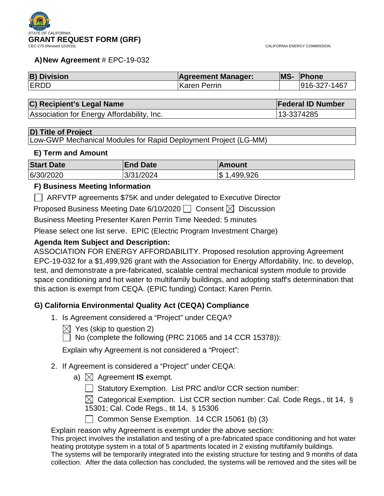

#### **A)New Agreement** # EPC-19-032

| <b>B) Division</b> | <b>Agreement Manager:</b> | <b>MS-</b> | <b>Phone</b> |
|--------------------|---------------------------|------------|--------------|
| <b>ERDD</b>        | <b>Karen Perrin</b>       |            | 916-327-1467 |

#### **C) Recipient's Legal Name Federal ID Number Federal ID Number**

Association for Energy Affordability, Inc. 13-3374285

#### **D) Title of Project**

Low-GWP Mechanical Modules for Rapid Deployment Project (LG-MM)

#### **E) Term and Amount**

| <b>Start Date</b> | <b>End Date</b> | <b>Amount</b>  |
|-------------------|-----------------|----------------|
| 6/30/2020         | 3/31/2024       | ,499,926<br>\$ |

#### **F) Business Meeting Information**

ARFVTP agreements \$75K and under delegated to Executive Director

Proposed Business Meeting Date 6/10/2020  $\Box$  Consent  $\boxtimes$  Discussion

Business Meeting Presenter Karen Perrin Time Needed: 5 minutes

Please select one list serve. EPIC (Electric Program Investment Charge)

### **Agenda Item Subject and Description:**

ASSOCIATION FOR ENERGY AFFORDABILITY. Proposed resolution approving Agreement EPC-19-032 for a \$1,499,926 grant with the Association for Energy Affordability, Inc. to develop, test, and demonstrate a pre-fabricated, scalable central mechanical system module to provide space conditioning and hot water to multifamily buildings, and adopting staff's determination that this action is exempt from CEQA. (EPIC funding) Contact: Karen Perrin.

### **G) California Environmental Quality Act (CEQA) Compliance**

- 1. Is Agreement considered a "Project" under CEQA?
	- $\boxtimes$  Yes (skip to question 2)
	- $\Box$  No (complete the following (PRC 21065 and 14 CCR 15378)):

Explain why Agreement is not considered a "Project":

- 2. If Agreement is considered a "Project" under CEQA:
	- a)  $\boxtimes$  Agreement **IS** exempt.
		- □ Statutory Exemption. List PRC and/or CCR section number:

 $\boxtimes$  Categorical Exemption. List CCR section number: Cal. Code Regs., tit 14, § 15301; Cal. Code Regs., tit 14, § 15306

Common Sense Exemption. 14 CCR 15061 (b) (3)

Explain reason why Agreement is exempt under the above section:

This project involves the installation and testing of a pre-fabricated space conditioning and hot water heating prototype system in a total of 5 apartments located in 2 existing multifamily buildings.

The systems will be temporarily integrated into the existing structure for testing and 9 months of data collection. After the data collection has concluded, the systems will be removed and the sites will be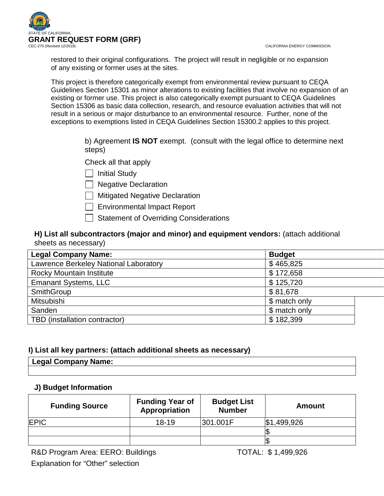CALIFORNIA ENERGY COMMISSION



restored to their original configurations. The project will result in negligible or no expansion of any existing or former uses at the sites.

This project is therefore categorically exempt from environmental review pursuant to CEQA Guidelines Section 15301 as minor alterations to existing facilities that involve no expansion of an existing or former use. This project is also categorically exempt pursuant to CEQA Guidelines Section 15306 as basic data collection, research, and resource evaluation activities that will not result in a serious or major disturbance to an environmental resource. Further, none of the exceptions to exemptions listed in CEQA Guidelines Section 15300.2 applies to this project.

> b) Agreement **IS NOT** exempt. (consult with the legal office to determine next steps)

Check all that apply

| | Initial Study

 $\Box$  Negative Declaration

**Nitigated Negative Declaration** 

- $\Box$  Environmental Impact Report
- $\Box$  Statement of Overriding Considerations

## **H) List all subcontractors (major and minor) and equipment vendors:** (attach additional sheets as necessary)

| <b>Legal Company Name:</b>            | <b>Budget</b> |
|---------------------------------------|---------------|
| Lawrence Berkeley National Laboratory | \$465,825     |
| Rocky Mountain Institute              | \$172,658     |
| <b>Emanant Systems, LLC</b>           | \$125,720     |
| SmithGroup                            | \$81,678      |
| Mitsubishi                            | \$ match only |
| Sanden                                | \$ match only |
| TBD (installation contractor)         | \$182,399     |

## **I) List all key partners: (attach additional sheets as necessary)**

| Legal Company Name: |  |  |
|---------------------|--|--|
|                     |  |  |

### **J) Budget Information**

| <b>Funding Source</b> | <b>Funding Year of</b><br>Appropriation | <b>Budget List</b><br><b>Number</b> | <b>Amount</b> |
|-----------------------|-----------------------------------------|-------------------------------------|---------------|
| <b>EPIC</b>           | $18 - 19$                               | 301.001F                            | \$1,499,926   |
|                       |                                         |                                     |               |
|                       |                                         |                                     |               |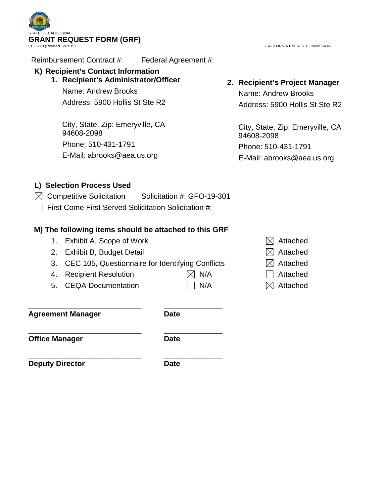

Reimbursement Contract #: Federal Agreement #:

# **K) Recipient's Contact Information**

# **1. Recipient's Administrator/Officer**

Name: Andrew Brooks Address: 5900 Hollis St Ste R2

City, State, Zip: Emeryville, CA 94608-2098 Phone: 510-431-1791 E-Mail: abrooks@aea.us.org

CALIFORNIA ENERGY COMMISSION

# **2. Recipient's Project Manager**

Name: Andrew Brooks Address: 5900 Hollis St Ste R2

City, State, Zip: Emeryville, CA 94608-2098 Phone: 510-431-1791 E-Mail: abrooks@aea.us.org

# **L) Selection Process Used**

- $\boxtimes$  Competitive Solicitation Solicitation #: GFO-19-301
- $\Box$  First Come First Served Solicitation Solicitation #:

## **M) The following items should be attached to this GRF**

- 1. Exhibit A, Scope of Work  $\boxtimes$  Attached
- 2. Exhibit B, Budget Detail  $\boxtimes$  Attached
- 3. CEC 105, Questionnaire for Identifying Conflicts  $\boxtimes$  Attached
- 4. Recipient Resolution  $\boxtimes$  N/A  $\Box$  Attached
- 5. CEQA Documentation  $\Box$  N/A  $\Box$  Attached

**\_\_\_\_\_\_\_\_\_\_\_\_\_\_\_\_\_\_\_\_\_\_\_\_\_\_\_ \_\_\_\_\_\_\_\_\_\_\_\_\_\_ Agreement Manager Date**

**\_\_\_\_\_\_\_\_\_\_\_\_\_\_\_\_\_\_\_\_\_\_\_\_\_\_\_ \_\_\_\_\_\_\_\_\_\_\_\_\_\_ Office Manager Date** 

**Deputy Director Date** 

**\_\_\_\_\_\_\_\_\_\_\_\_\_\_\_\_\_\_\_\_\_\_\_\_\_\_\_ \_\_\_\_\_\_\_\_\_\_\_\_\_\_**

- 
- 
- 
- 
-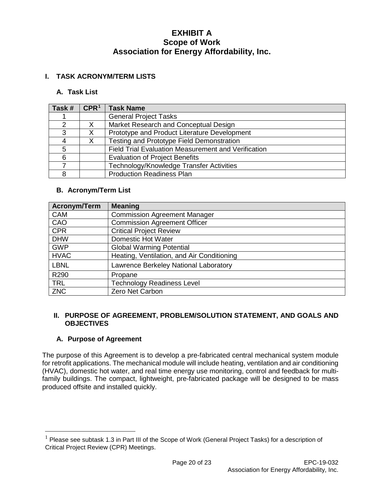### **I. TASK ACRONYM/TERM LISTS**

#### **A. Task List**

| Task # | CPR <sup>1</sup> | <b>Task Name</b>                                    |
|--------|------------------|-----------------------------------------------------|
|        |                  | <b>General Project Tasks</b>                        |
| ⌒      | X                | Market Research and Conceptual Design               |
| 3      | X                | Prototype and Product Literature Development        |
|        | Χ                | Testing and Prototype Field Demonstration           |
| 5      |                  | Field Trial Evaluation Measurement and Verification |
| 6      |                  | <b>Evaluation of Project Benefits</b>               |
|        |                  | Technology/Knowledge Transfer Activities            |
|        |                  | <b>Production Readiness Plan</b>                    |

### **B. Acronym/Term List**

| <b>Acronym/Term</b> | <b>Meaning</b>                             |
|---------------------|--------------------------------------------|
| <b>CAM</b>          | <b>Commission Agreement Manager</b>        |
| CAO                 | Commission Agreement Officer               |
| <b>CPR</b>          | <b>Critical Project Review</b>             |
| <b>DHW</b>          | <b>Domestic Hot Water</b>                  |
| <b>GWP</b>          | <b>Global Warming Potential</b>            |
| <b>HVAC</b>         | Heating, Ventilation, and Air Conditioning |
| <b>LBNL</b>         | Lawrence Berkeley National Laboratory      |
| R290                | Propane                                    |
| <b>TRL</b>          | <b>Technology Readiness Level</b>          |
| <b>ZNC</b>          | Zero Net Carbon                            |

### **II. PURPOSE OF AGREEMENT, PROBLEM/SOLUTION STATEMENT, AND GOALS AND OBJECTIVES**

### **A. Purpose of Agreement**

The purpose of this Agreement is to develop a pre-fabricated central mechanical system module for retrofit applications. The mechanical module will include heating, ventilation and air conditioning (HVAC), domestic hot water, and real time energy use monitoring, control and feedback for multifamily buildings. The compact, lightweight, pre-fabricated package will be designed to be mass produced offsite and installed quickly.

<span id="page-3-0"></span> $1$  Please see subtask 1.3 in Part III of the Scope of Work (General Project Tasks) for a description of Critical Project Review (CPR) Meetings.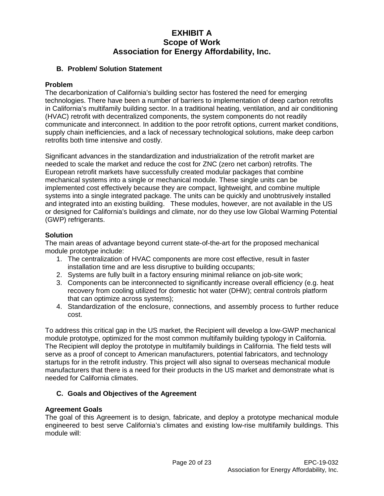### **B. Problem/ Solution Statement**

### **Problem**

The decarbonization of California's building sector has fostered the need for emerging technologies. There have been a number of barriers to implementation of deep carbon retrofits in California's multifamily building sector. In a traditional heating, ventilation, and air conditioning (HVAC) retrofit with decentralized components, the system components do not readily communicate and interconnect. In addition to the poor retrofit options, current market conditions, supply chain inefficiencies, and a lack of necessary technological solutions, make deep carbon retrofits both time intensive and costly.

Significant advances in the standardization and industrialization of the retrofit market are needed to scale the market and reduce the cost for ZNC (zero net carbon) retrofits. The European retrofit markets have successfully created modular packages that combine mechanical systems into a single or mechanical module. These single units can be implemented cost effectively because they are compact, lightweight, and combine multiple systems into a single integrated package. The units can be quickly and unobtrusively installed and integrated into an existing building. These modules, however, are not available in the US or designed for California's buildings and climate, nor do they use low Global Warming Potential (GWP) refrigerants.

### **Solution**

The main areas of advantage beyond current state-of-the-art for the proposed mechanical module prototype include:

- 1. The centralization of HVAC components are more cost effective, result in faster installation time and are less disruptive to building occupants;
- 2. Systems are fully built in a factory ensuring minimal reliance on job-site work;
- 3. Components can be interconnected to significantly increase overall efficiency (e.g. heat recovery from cooling utilized for domestic hot water (DHW); central controls platform that can optimize across systems);
- 4. Standardization of the enclosure, connections, and assembly process to further reduce cost.

To address this critical gap in the US market, the Recipient will develop a low-GWP mechanical module prototype, optimized for the most common multifamily building typology in California. The Recipient will deploy the prototype in multifamily buildings in California. The field tests will serve as a proof of concept to American manufacturers, potential fabricators, and technology startups for in the retrofit industry. This project will also signal to overseas mechanical module manufacturers that there is a need for their products in the US market and demonstrate what is needed for California climates.

### **C. Goals and Objectives of the Agreement**

### **Agreement Goals**

The goal of this Agreement is to design, fabricate, and deploy a prototype mechanical module engineered to best serve California's climates and existing low-rise multifamily buildings. This module will: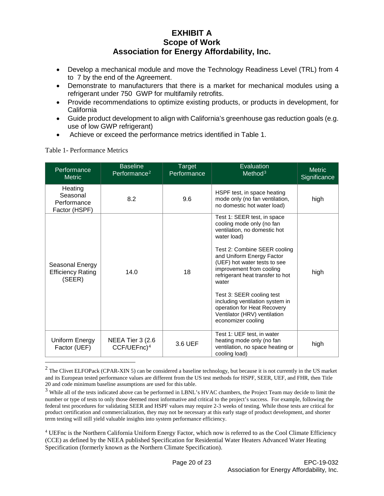- Develop a mechanical module and move the Technology Readiness Level (TRL) from 4 to 7 by the end of the Agreement.
- Demonstrate to manufacturers that there is a market for mechanical modules using a refrigerant under 750 GWP for multifamily retrofits.
- Provide recommendations to optimize existing products, or products in development, for **California**
- Guide product development to align with California's greenhouse gas reduction goals (e.g. use of low GWP refrigerant)
- Achieve or exceed the performance metrics identified in Table 1.

|                                                       | <b>Baseline</b>                              |                       |                                                                                                                                                                                                                                                                                                                                                                                                                                    |                               |
|-------------------------------------------------------|----------------------------------------------|-----------------------|------------------------------------------------------------------------------------------------------------------------------------------------------------------------------------------------------------------------------------------------------------------------------------------------------------------------------------------------------------------------------------------------------------------------------------|-------------------------------|
| Performance<br><b>Metric</b>                          | Performance <sup>2</sup>                     | Target<br>Performance | Evaluation<br>Method <sup>3</sup>                                                                                                                                                                                                                                                                                                                                                                                                  | <b>Metric</b><br>Significance |
| Heating<br>Seasonal<br>Performance<br>Factor (HSPF)   | 8.2                                          | 9.6                   | HSPF test, in space heating<br>mode only (no fan ventilation,<br>no domestic hot water load)                                                                                                                                                                                                                                                                                                                                       | high                          |
| Seasonal Energy<br><b>Efficiency Rating</b><br>(SEER) | 14.0                                         | 18                    | Test 1: SEER test, in space<br>cooling mode only (no fan<br>ventilation, no domestic hot<br>water load)<br>Test 2: Combine SEER cooling<br>and Uniform Energy Factor<br>(UEF) hot water tests to see<br>improvement from cooling<br>refrigerant heat transfer to hot<br>water<br>Test 3: SEER cooling test<br>including ventilation system in<br>operation for Heat Recovery<br>Ventilator (HRV) ventilation<br>economizer cooling | high                          |
| Uniform Energy<br>Factor (UEF)                        | NEEA Tier 3 (2.6)<br>CCF/UEFnc) <sup>4</sup> | 3.6 UEF               | Test 1: UEF test, in water<br>heating mode only (no fan<br>ventilation, no space heating or<br>cooling load)                                                                                                                                                                                                                                                                                                                       | high                          |

### Table 1- Performance Metrics

<span id="page-5-0"></span> $2$  The Clivet ELFOPack (CPAR-XIN 5) can be considered a baseline technology, but because it is not currently in the US market and its European tested performance values are different from the US test methods for HSPF, SEER, UEF, and FHR, then Title 20 and code minimum baseline assumptions are used for this table.

<span id="page-5-1"></span><sup>&</sup>lt;sup>3</sup> While all of the tests indicated above can be performed in LBNL's HVAC chambers, the Project Team may decide to limit the number or type of tests to only those deemed most informative and critical to the project's success. For example, following the federal test procedures for validating SEER and HSPF values may require 2-3 weeks of testing. While those tests are critical for product certification and commercialization, they may not be necessary at this early stage of product development, and shorter term testing will still yield valuable insights into system performance efficiency.

<span id="page-5-2"></span><sup>4</sup> UEFnc is the Northern California Uniform Energy Factor, which now is referred to as the Cool Climate Efficiency (CCE) as defined by the NEEA published Specification for Residential Water Heaters Advanced Water Heating Specification (formerly known as the Northern Climate Specification).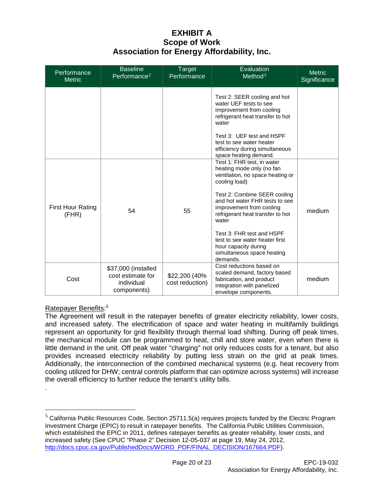| Performance<br><b>Metric</b>      | <b>Baseline</b><br>Performance <sup>2</sup>                           | <b>Target</b><br>Performance      | Evaluation<br>Method <sup>3</sup>                                                                                                                                                                                                                                                                                                                                                        | <b>Metric</b><br>Significance |
|-----------------------------------|-----------------------------------------------------------------------|-----------------------------------|------------------------------------------------------------------------------------------------------------------------------------------------------------------------------------------------------------------------------------------------------------------------------------------------------------------------------------------------------------------------------------------|-------------------------------|
|                                   |                                                                       |                                   | Test 2: SEER cooling and hot<br>water UEF tests to see<br>improvement from cooling<br>refrigerant heat transfer to hot<br>water<br>Test 3: UEF test and HSPF<br>test to see water heater<br>efficiency during simultaneous<br>space heating demand.                                                                                                                                      |                               |
| <b>First Hour Rating</b><br>(FHR) | 54                                                                    | 55                                | Test 1: FHR test, in water<br>heating mode only (no fan<br>ventilation, no space heating or<br>cooling load)<br>Test 2: Combine SEER cooling<br>and hot water FHR tests to see<br>improvement from cooling<br>refrigerant heat transfer to hot<br>water<br>Test 3: FHR test and HSPF<br>test to see water heater first<br>hour capacity during<br>simultaneous space heating<br>demands. | medium                        |
| Cost                              | \$37,000 (installed<br>cost estimate for<br>individual<br>components) | \$22,200 (40%)<br>cost reduction) | Cost reductions based on<br>scaled demand, factory based<br>fabrication, and product<br>integration with panelized<br>envelope components.                                                                                                                                                                                                                                               | medium                        |

### Ratepayer Benefits:<sup>[5](#page-6-0)</sup>

.

The Agreement will result in the ratepayer benefits of greater electricity reliability, lower costs, and increased safety. The electrification of space and water heating in multifamily buildings represent an opportunity for grid flexibility through thermal load shifting. During off peak times, the mechanical module can be programmed to heat, chill and store water, even when there is little demand in the unit. Off peak water "charging" not only reduces costs for a tenant, but also provides increased electricity reliability by putting less strain on the grid at peak times. Additionally, the interconnection of the combined mechanical systems (e.g. heat recovery from cooling utilized for DHW; central controls platform that can optimize across systems) will increase the overall efficiency to further reduce the tenant's utility bills.

<span id="page-6-0"></span> $5$  California Public Resources Code, Section 25711.5(a) requires projects funded by the Electric Program Investment Charge (EPIC) to result in ratepayer benefits. The California Public Utilities Commission, which established the EPIC in 2011, defines ratepayer benefits as greater reliability, lower costs, and increased safety (See CPUC "Phase 2" Decision 12-05-037 at page 19, May 24, 2012, [http://docs.cpuc.ca.gov/PublishedDocs/WORD\\_PDF/FINAL\\_DECISION/167664.PDF\)](about:blank).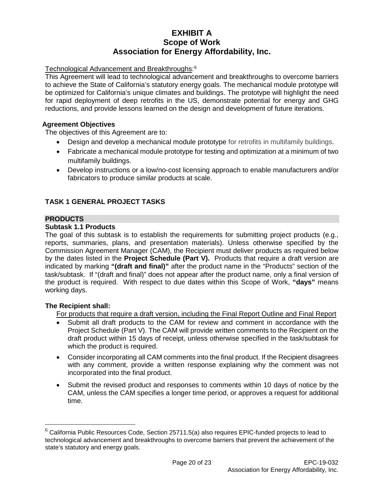### Technological Advancement and Breakthroughs: [6](#page-7-0)

This Agreement will lead to technological advancement and breakthroughs to overcome barriers to achieve the State of California's statutory energy goals. The mechanical module prototype will be optimized for California's unique climates and buildings. The prototype will highlight the need for rapid deployment of deep retrofits in the US, demonstrate potential for energy and GHG reductions, and provide lessons learned on the design and development of future iterations.

### **Agreement Objectives**

The objectives of this Agreement are to:

- Design and develop a mechanical module prototype for retrofits in multifamily buildings.
- Fabricate a mechanical module prototype for testing and optimization at a minimum of two multifamily buildings.
- Develop instructions or a low/no-cost licensing approach to enable manufacturers and/or fabricators to produce similar products at scale.

## **TASK 1 GENERAL PROJECT TASKS**

### **PRODUCTS**

### **Subtask 1.1 Products**

The goal of this subtask is to establish the requirements for submitting project products (e.g., reports, summaries, plans, and presentation materials). Unless otherwise specified by the Commission Agreement Manager (CAM), the Recipient must deliver products as required below by the dates listed in the **Project Schedule (Part V).** Products that require a draft version are indicated by marking **"(draft and final)"** after the product name in the "Products" section of the task/subtask. If "(draft and final)" does not appear after the product name, only a final version of the product is required. With respect to due dates within this Scope of Work, **"days"** means working days.

### **The Recipient shall:**

For products that require a draft version, including the Final Report Outline and Final Report

- Submit all draft products to the CAM for review and comment in accordance with the Project Schedule (Part V). The CAM will provide written comments to the Recipient on the draft product within 15 days of receipt, unless otherwise specified in the task/subtask for which the product is required.
- Consider incorporating all CAM comments into the final product. If the Recipient disagrees with any comment, provide a written response explaining why the comment was not incorporated into the final product.
- Submit the revised product and responses to comments within 10 days of notice by the CAM, unless the CAM specifies a longer time period, or approves a request for additional time.

<span id="page-7-0"></span> $6$  California Public Resources Code, Section 25711.5(a) also requires EPIC-funded projects to lead to technological advancement and breakthroughs to overcome barriers that prevent the achievement of the state's statutory and energy goals.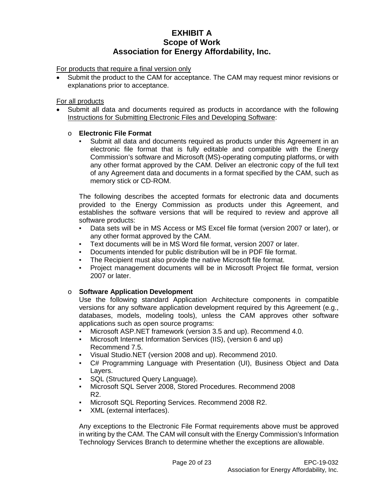For products that require a final version only

• Submit the product to the CAM for acceptance. The CAM may request minor revisions or explanations prior to acceptance.

#### For all products

• Submit all data and documents required as products in accordance with the following Instructions for Submitting Electronic Files and Developing Software:

### o **Electronic File Format**

Submit all data and documents required as products under this Agreement in an electronic file format that is fully editable and compatible with the Energy Commission's software and Microsoft (MS)-operating computing platforms, or with any other format approved by the CAM. Deliver an electronic copy of the full text of any Agreement data and documents in a format specified by the CAM, such as memory stick or CD-ROM.

The following describes the accepted formats for electronic data and documents provided to the Energy Commission as products under this Agreement, and establishes the software versions that will be required to review and approve all software products:

- Data sets will be in MS Access or MS Excel file format (version 2007 or later), or any other format approved by the CAM.
- Text documents will be in MS Word file format, version 2007 or later.
- Documents intended for public distribution will be in PDF file format.
- The Recipient must also provide the native Microsoft file format.
- Project management documents will be in Microsoft Project file format, version 2007 or later.

### o **Software Application Development**

Use the following standard Application Architecture components in compatible versions for any software application development required by this Agreement (e.g., databases, models, modeling tools), unless the CAM approves other software applications such as open source programs:

- Microsoft ASP.NET framework (version 3.5 and up). Recommend 4.0.
- Microsoft Internet Information Services (IIS), (version 6 and up) Recommend 7.5.
- Visual Studio.NET (version 2008 and up). Recommend 2010.
- C# Programming Language with Presentation (UI), Business Object and Data Layers.
- SQL (Structured Query Language).
- Microsoft SQL Server 2008, Stored Procedures. Recommend 2008 R2.
- Microsoft SQL Reporting Services. Recommend 2008 R2.
- XML (external interfaces).

Any exceptions to the Electronic File Format requirements above must be approved in writing by the CAM. The CAM will consult with the Energy Commission's Information Technology Services Branch to determine whether the exceptions are allowable.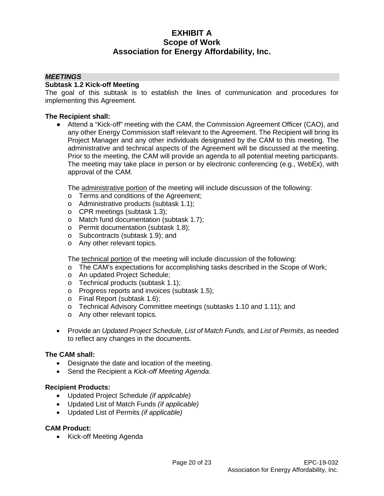#### *MEETINGS*

#### **Subtask 1.2 Kick-off Meeting**

The goal of this subtask is to establish the lines of communication and procedures for implementing this Agreement.

#### **The Recipient shall:**

• Attend a "Kick-off" meeting with the CAM, the Commission Agreement Officer (CAO), and any other Energy Commission staff relevant to the Agreement. The Recipient will bring its Project Manager and any other individuals designated by the CAM to this meeting. The administrative and technical aspects of the Agreement will be discussed at the meeting. Prior to the meeting, the CAM will provide an agenda to all potential meeting participants. The meeting may take place in person or by electronic conferencing (e.g., WebEx), with approval of the CAM.

The administrative portion of the meeting will include discussion of the following:

- o Terms and conditions of the Agreement;
- o Administrative products (subtask 1.1);
- o CPR meetings (subtask 1.3);
- o Match fund documentation (subtask 1.7);
- o Permit documentation (subtask 1.8);
- o Subcontracts (subtask 1.9); and
- o Any other relevant topics.

The technical portion of the meeting will include discussion of the following:

- o The CAM's expectations for accomplishing tasks described in the Scope of Work;
- o An updated Project Schedule;
- o Technical products (subtask 1.1);
- o Progress reports and invoices (subtask 1.5);
- o Final Report (subtask 1.6);
- o Technical Advisory Committee meetings (subtasks 1.10 and 1.11); and
- o Any other relevant topics.
- Provide an *Updated Project Schedule, List of Match Funds,* and *List of Permits*, as needed to reflect any changes in the documents.

#### **The CAM shall:**

- Designate the date and location of the meeting.
- Send the Recipient a *Kick-off Meeting Agenda*.

#### **Recipient Products:**

- Updated Project Schedule *(if applicable)*
- Updated List of Match Funds *(if applicable)*
- Updated List of Permits *(if applicable)*

#### **CAM Product:**

• Kick-off Meeting Agenda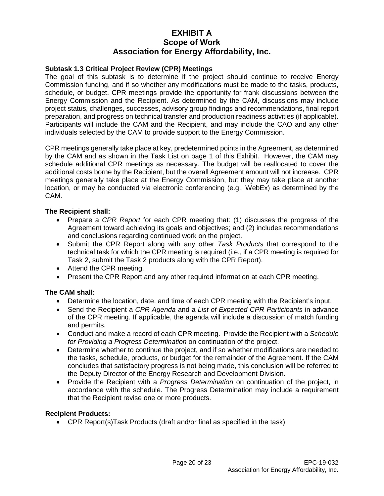### **Subtask 1.3 Critical Project Review (CPR) Meetings**

The goal of this subtask is to determine if the project should continue to receive Energy Commission funding, and if so whether any modifications must be made to the tasks, products, schedule, or budget. CPR meetings provide the opportunity for frank discussions between the Energy Commission and the Recipient. As determined by the CAM, discussions may include project status, challenges, successes, advisory group findings and recommendations, final report preparation, and progress on technical transfer and production readiness activities (if applicable). Participants will include the CAM and the Recipient, and may include the CAO and any other individuals selected by the CAM to provide support to the Energy Commission.

CPR meetings generally take place at key, predetermined points in the Agreement, as determined by the CAM and as shown in the Task List on page 1 of this Exhibit. However, the CAM may schedule additional CPR meetings as necessary. The budget will be reallocated to cover the additional costs borne by the Recipient, but the overall Agreement amount will not increase. CPR meetings generally take place at the Energy Commission, but they may take place at another location, or may be conducted via electronic conferencing (e.g., WebEx) as determined by the CAM.

### **The Recipient shall:**

- Prepare a *CPR Report* for each CPR meeting that: (1) discusses the progress of the Agreement toward achieving its goals and objectives; and (2) includes recommendations and conclusions regarding continued work on the project.
- Submit the CPR Report along with any other *Task Products* that correspond to the technical task for which the CPR meeting is required (i.e., if a CPR meeting is required for Task 2, submit the Task 2 products along with the CPR Report).
- Attend the CPR meeting.
- Present the CPR Report and any other required information at each CPR meeting.

### **The CAM shall:**

- Determine the location, date, and time of each CPR meeting with the Recipient's input.
- Send the Recipient a *CPR Agenda* and a *List of Expected CPR Participants* in advance of the CPR meeting. If applicable, the agenda will include a discussion of match funding and permits.
- Conduct and make a record of each CPR meeting. Provide the Recipient with a *Schedule for Providing a Progress Determination* on continuation of the project.
- Determine whether to continue the project, and if so whether modifications are needed to the tasks, schedule, products, or budget for the remainder of the Agreement. If the CAM concludes that satisfactory progress is not being made, this conclusion will be referred to the Deputy Director of the Energy Research and Development Division.
- Provide the Recipient with a *Progress Determination* on continuation of the project, in accordance with the schedule. The Progress Determination may include a requirement that the Recipient revise one or more products.

### **Recipient Products:**

• CPR Report(s)Task Products (draft and/or final as specified in the task)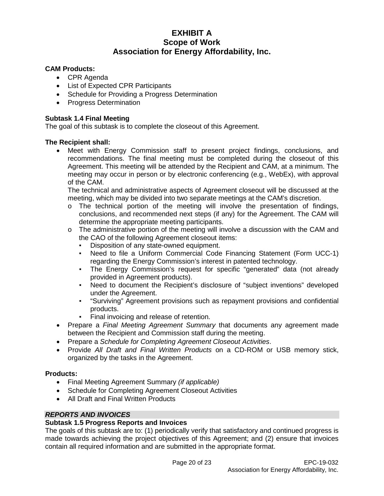### **CAM Products:**

- CPR Agenda
- List of Expected CPR Participants
- Schedule for Providing a Progress Determination
- Progress Determination

#### **Subtask 1.4 Final Meeting**

The goal of this subtask is to complete the closeout of this Agreement.

#### **The Recipient shall:**

• Meet with Energy Commission staff to present project findings, conclusions, and recommendations. The final meeting must be completed during the closeout of this Agreement. This meeting will be attended by the Recipient and CAM, at a minimum. The meeting may occur in person or by electronic conferencing (e.g., WebEx), with approval of the CAM.

The technical and administrative aspects of Agreement closeout will be discussed at the meeting, which may be divided into two separate meetings at the CAM's discretion.

- $\circ$  The technical portion of the meeting will involve the presentation of findings, conclusions, and recommended next steps (if any) for the Agreement. The CAM will determine the appropriate meeting participants.
- $\circ$  The administrative portion of the meeting will involve a discussion with the CAM and the CAO of the following Agreement closeout items:
	- Disposition of any state-owned equipment.
	- Need to file a Uniform Commercial Code Financing Statement (Form UCC-1) regarding the Energy Commission's interest in patented technology.
	- The Energy Commission's request for specific "generated" data (not already provided in Agreement products).
	- Need to document the Recipient's disclosure of "subject inventions" developed under the Agreement.
	- "Surviving" Agreement provisions such as repayment provisions and confidential products.
	- Final invoicing and release of retention.
- Prepare a *Final Meeting Agreement Summary* that documents any agreement made between the Recipient and Commission staff during the meeting.
- Prepare a *Schedule for Completing Agreement Closeout Activities*.
- Provide *All Draft and Final Written Products* on a CD-ROM or USB memory stick, organized by the tasks in the Agreement.

### **Products:**

- Final Meeting Agreement Summary *(if applicable)*
- Schedule for Completing Agreement Closeout Activities
- All Draft and Final Written Products

### *REPORTS AND INVOICES*

### **Subtask 1.5 Progress Reports and Invoices**

The goals of this subtask are to: (1) periodically verify that satisfactory and continued progress is made towards achieving the project objectives of this Agreement; and (2) ensure that invoices contain all required information and are submitted in the appropriate format.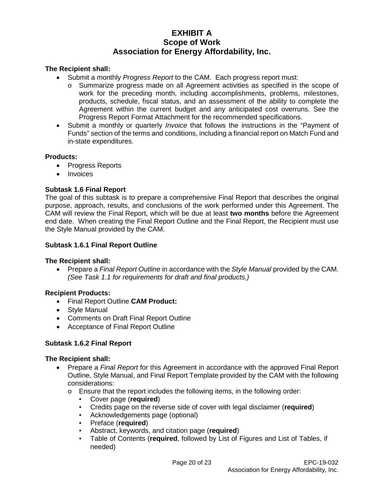### **The Recipient shall:**

- Submit a monthly *Progress Report* to the CAM. Each progress report must:
	- o Summarize progress made on all Agreement activities as specified in the scope of work for the preceding month, including accomplishments, problems, milestones, products, schedule, fiscal status, and an assessment of the ability to complete the Agreement within the current budget and any anticipated cost overruns. See the Progress Report Format Attachment for the recommended specifications.
- Submit a monthly or quarterly *Invoice* that follows the instructions in the "Payment of Funds" section of the terms and conditions, including a financial report on Match Fund and in-state expenditures.

### **Products:**

- Progress Reports
- **Invoices**

### **Subtask 1.6 Final Report**

The goal of this subtask is to prepare a comprehensive Final Report that describes the original purpose, approach, results, and conclusions of the work performed under this Agreement. The CAM will review the Final Report, which will be due at least **two months** before the Agreement end date. When creating the Final Report Outline and the Final Report, the Recipient must use the Style Manual provided by the CAM.

#### **Subtask 1.6.1 Final Report Outline**

### **The Recipient shall:**

• Prepare a *Final Report Outline* in accordance with the *Style Manual* provided by the CAM. *(See Task 1.1 for requirements for draft and final products.)*

### **Recipient Products:**

- Final Report Outline **CAM Product:**
- Style Manual
- Comments on Draft Final Report Outline
- Acceptance of Final Report Outline

### **Subtask 1.6.2 Final Report**

#### **The Recipient shall:**

- Prepare a *Final Report* for this Agreement in accordance with the approved Final Report Outline, Style Manual, and Final Report Template provided by the CAM with the following considerations:
	- $\circ$  Ensure that the report includes the following items, in the following order:
		- Cover page (**required**)
		- Credits page on the reverse side of cover with legal disclaimer (**required**)
		- Acknowledgements page (optional)
		- Preface (**required**)
		- Abstract, keywords, and citation page (**required**)
		- Table of Contents (**required**, followed by List of Figures and List of Tables, if needed)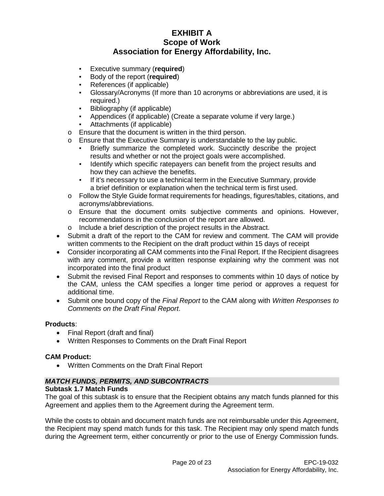- Executive summary (**required**)
- Body of the report (**required**)
- References (if applicable)
- Glossary/Acronyms (If more than 10 acronyms or abbreviations are used, it is required.)
- Bibliography (if applicable)
- Appendices (if applicable) (Create a separate volume if very large.)
- Attachments (if applicable)
- o Ensure that the document is written in the third person.
- o Ensure that the Executive Summary is understandable to the lay public.
	- Briefly summarize the completed work. Succinctly describe the project results and whether or not the project goals were accomplished.
	- Identify which specific ratepayers can benefit from the project results and how they can achieve the benefits.
	- If it's necessary to use a technical term in the Executive Summary, provide a brief definition or explanation when the technical term is first used.
- o Follow the Style Guide format requirements for headings, figures/tables, citations, and acronyms/abbreviations.
- o Ensure that the document omits subjective comments and opinions. However, recommendations in the conclusion of the report are allowed.
- o Include a brief description of the project results in the Abstract.
- Submit a draft of the report to the CAM for review and comment. The CAM will provide written comments to the Recipient on the draft product within 15 days of receipt
- Consider incorporating all CAM comments into the Final Report. If the Recipient disagrees with any comment, provide a written response explaining why the comment was not incorporated into the final product
- Submit the revised Final Report and responses to comments within 10 days of notice by the CAM, unless the CAM specifies a longer time period or approves a request for additional time.
- Submit one bound copy of the *Final Report* to the CAM along with *Written Responses to Comments on the Draft Final Report*.

### **Products**:

- Final Report (draft and final)
- Written Responses to Comments on the Draft Final Report

### **CAM Product:**

• Written Comments on the Draft Final Report

## *MATCH FUNDS, PERMITS, AND SUBCONTRACTS*

### **Subtask 1.7 Match Funds**

The goal of this subtask is to ensure that the Recipient obtains any match funds planned for this Agreement and applies them to the Agreement during the Agreement term.

While the costs to obtain and document match funds are not reimbursable under this Agreement, the Recipient may spend match funds for this task. The Recipient may only spend match funds during the Agreement term, either concurrently or prior to the use of Energy Commission funds.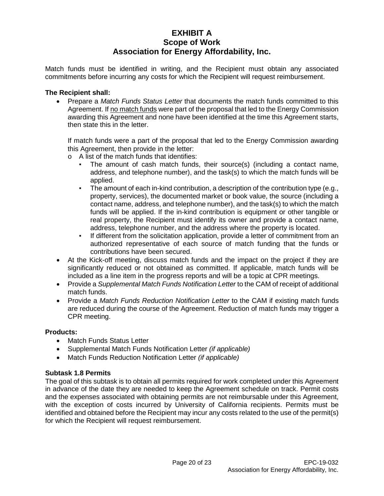Match funds must be identified in writing, and the Recipient must obtain any associated commitments before incurring any costs for which the Recipient will request reimbursement.

#### **The Recipient shall:**

• Prepare a *Match Funds Status Letter* that documents the match funds committed to this Agreement. If no match funds were part of the proposal that led to the Energy Commission awarding this Agreement and none have been identified at the time this Agreement starts, then state this in the letter.

If match funds were a part of the proposal that led to the Energy Commission awarding this Agreement, then provide in the letter:

- o A list of the match funds that identifies:
	- The amount of cash match funds, their source(s) (including a contact name, address, and telephone number), and the task(s) to which the match funds will be applied.
	- **•** The amount of each in-kind contribution, a description of the contribution type  $(e.g.,)$ property, services), the documented market or book value, the source (including a contact name, address, and telephone number), and the task(s) to which the match funds will be applied. If the in-kind contribution is equipment or other tangible or real property, the Recipient must identify its owner and provide a contact name, address, telephone number, and the address where the property is located.
	- If different from the solicitation application, provide a letter of commitment from an authorized representative of each source of match funding that the funds or contributions have been secured.
- At the Kick-off meeting, discuss match funds and the impact on the project if they are significantly reduced or not obtained as committed. If applicable, match funds will be included as a line item in the progress reports and will be a topic at CPR meetings.
- Provide a *Supplemental Match Funds Notification Letter* to the CAM of receipt of additional match funds.
- Provide a *Match Funds Reduction Notification Letter* to the CAM if existing match funds are reduced during the course of the Agreement. Reduction of match funds may trigger a CPR meeting.

### **Products:**

- Match Funds Status Letter
- Supplemental Match Funds Notification Letter *(if applicable)*
- Match Funds Reduction Notification Letter *(if applicable)*

#### **Subtask 1.8 Permits**

The goal of this subtask is to obtain all permits required for work completed under this Agreement in advance of the date they are needed to keep the Agreement schedule on track. Permit costs and the expenses associated with obtaining permits are not reimbursable under this Agreement, with the exception of costs incurred by University of California recipients. Permits must be identified and obtained before the Recipient may incur any costs related to the use of the permit(s) for which the Recipient will request reimbursement.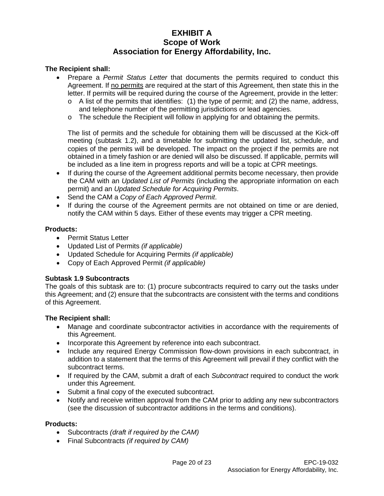### **The Recipient shall:**

- Prepare a *Permit Status Letter* that documents the permits required to conduct this Agreement. If no permits are required at the start of this Agreement, then state this in the letter. If permits will be required during the course of the Agreement, provide in the letter:
	- $\circ$  A list of the permits that identifies: (1) the type of permit; and (2) the name, address, and telephone number of the permitting jurisdictions or lead agencies.
	- $\circ$  The schedule the Recipient will follow in applying for and obtaining the permits.

The list of permits and the schedule for obtaining them will be discussed at the Kick-off meeting (subtask 1.2), and a timetable for submitting the updated list, schedule, and copies of the permits will be developed. The impact on the project if the permits are not obtained in a timely fashion or are denied will also be discussed. If applicable, permits will be included as a line item in progress reports and will be a topic at CPR meetings.

- If during the course of the Agreement additional permits become necessary, then provide the CAM with an *Updated List of Permits* (including the appropriate information on each permit) and an *Updated Schedule for Acquiring Permits*.
- Send the CAM a *Copy of Each Approved Permit*.
- If during the course of the Agreement permits are not obtained on time or are denied, notify the CAM within 5 days. Either of these events may trigger a CPR meeting.

### **Products:**

- Permit Status Letter
- Updated List of Permits *(if applicable)*
- Updated Schedule for Acquiring Permits *(if applicable)*
- Copy of Each Approved Permit *(if applicable)*

### **Subtask 1.9 Subcontracts**

The goals of this subtask are to: (1) procure subcontracts required to carry out the tasks under this Agreement; and (2) ensure that the subcontracts are consistent with the terms and conditions of this Agreement.

### **The Recipient shall:**

- Manage and coordinate subcontractor activities in accordance with the requirements of this Agreement.
- Incorporate this Agreement by reference into each subcontract.
- Include any required Energy Commission flow-down provisions in each subcontract, in addition to a statement that the terms of this Agreement will prevail if they conflict with the subcontract terms.
- If required by the CAM, submit a draft of each *Subcontract* required to conduct the work under this Agreement.
- Submit a final copy of the executed subcontract.
- Notify and receive written approval from the CAM prior to adding any new subcontractors (see the discussion of subcontractor additions in the terms and conditions).

#### **Products:**

- Subcontracts *(draft if required by the CAM)*
- Final Subcontracts *(if required by CAM)*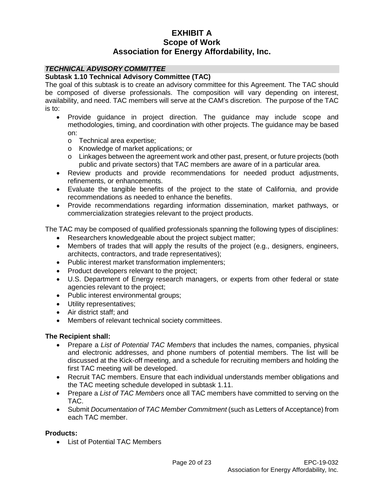### *TECHNICAL ADVISORY COMMITTEE*

### **Subtask 1.10 Technical Advisory Committee (TAC)**

The goal of this subtask is to create an advisory committee for this Agreement. The TAC should be composed of diverse professionals. The composition will vary depending on interest, availability, and need. TAC members will serve at the CAM's discretion. The purpose of the TAC is to:

- Provide guidance in project direction. The guidance may include scope and methodologies, timing, and coordination with other projects. The guidance may be based on:
	- o Technical area expertise;
	- o Knowledge of market applications; or
	- o Linkages between the agreement work and other past, present, or future projects (both public and private sectors) that TAC members are aware of in a particular area.
- Review products and provide recommendations for needed product adjustments, refinements, or enhancements.
- Evaluate the tangible benefits of the project to the state of California, and provide recommendations as needed to enhance the benefits.
- Provide recommendations regarding information dissemination, market pathways, or commercialization strategies relevant to the project products.

The TAC may be composed of qualified professionals spanning the following types of disciplines:

- Researchers knowledgeable about the project subject matter;
- Members of trades that will apply the results of the project (e.g., designers, engineers, architects, contractors, and trade representatives);
- Public interest market transformation implementers;
- Product developers relevant to the project;
- U.S. Department of Energy research managers, or experts from other federal or state agencies relevant to the project;
- Public interest environmental groups;
- Utility representatives;
- Air district staff; and
- Members of relevant technical society committees.

#### **The Recipient shall:**

- Prepare a *List of Potential TAC Members* that includes the names, companies, physical and electronic addresses, and phone numbers of potential members. The list will be discussed at the Kick-off meeting, and a schedule for recruiting members and holding the first TAC meeting will be developed.
- Recruit TAC members. Ensure that each individual understands member obligations and the TAC meeting schedule developed in subtask 1.11.
- Prepare a *List of TAC Members* once all TAC members have committed to serving on the TAC.
- Submit *Documentation of TAC Member Commitment* (such as Letters of Acceptance) from each TAC member.

#### **Products:**

• List of Potential TAC Members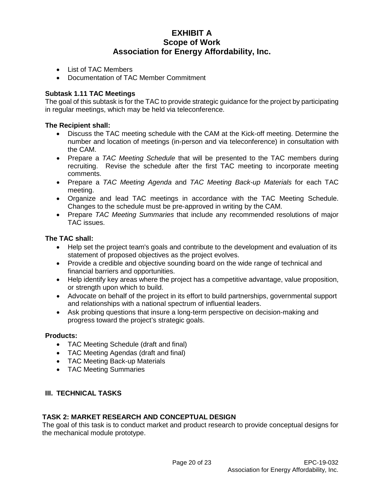- List of TAC Members
- Documentation of TAC Member Commitment

### **Subtask 1.11 TAC Meetings**

The goal of this subtask is for the TAC to provide strategic guidance for the project by participating in regular meetings, which may be held via teleconference.

#### **The Recipient shall:**

- Discuss the TAC meeting schedule with the CAM at the Kick-off meeting. Determine the number and location of meetings (in-person and via teleconference) in consultation with the CAM.
- Prepare a *TAC Meeting Schedule* that will be presented to the TAC members during recruiting. Revise the schedule after the first TAC meeting to incorporate meeting comments.
- Prepare a *TAC Meeting Agenda* and *TAC Meeting Back-up Materials* for each TAC meeting.
- Organize and lead TAC meetings in accordance with the TAC Meeting Schedule. Changes to the schedule must be pre-approved in writing by the CAM.
- Prepare *TAC Meeting Summaries* that include any recommended resolutions of major TAC issues.

#### **The TAC shall:**

- Help set the project team's goals and contribute to the development and evaluation of its statement of proposed objectives as the project evolves.
- Provide a credible and objective sounding board on the wide range of technical and financial barriers and opportunities.
- Help identify key areas where the project has a competitive advantage, value proposition, or strength upon which to build.
- Advocate on behalf of the project in its effort to build partnerships, governmental support and relationships with a national spectrum of influential leaders.
- Ask probing questions that insure a long-term perspective on decision-making and progress toward the project's strategic goals.

#### **Products:**

- TAC Meeting Schedule (draft and final)
- TAC Meeting Agendas (draft and final)
- TAC Meeting Back-up Materials
- TAC Meeting Summaries

### **III. TECHNICAL TASKS**

### **TASK 2: MARKET RESEARCH AND CONCEPTUAL DESIGN**

The goal of this task is to conduct market and product research to provide conceptual designs for the mechanical module prototype.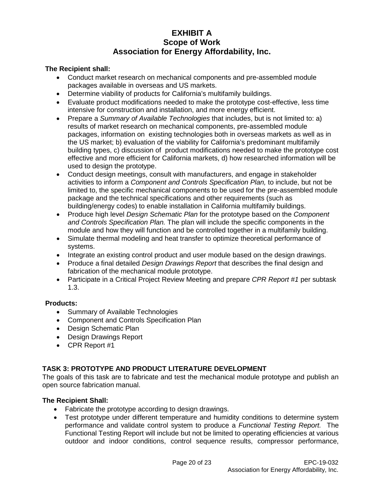### **The Recipient shall:**

- Conduct market research on mechanical components and pre-assembled module packages available in overseas and US markets.
- Determine viability of products for California's multifamily buildings.
- Evaluate product modifications needed to make the prototype cost-effective, less time intensive for construction and installation, and more energy efficient.
- Prepare a *Summary of Available Technologies* that includes, but is not limited to: a) results of market research on mechanical components, pre-assembled module packages, information on existing technologies both in overseas markets as well as in the US market; b) evaluation of the viability for California's predominant multifamily building types, c) discussion of product modifications needed to make the prototype cost effective and more efficient for California markets, d) how researched information will be used to design the prototype.
- Conduct design meetings, consult with manufacturers, and engage in stakeholder activities to inform a *Component and Controls Specification Plan,* to include, but not be limited to, the specific mechanical components to be used for the pre-assembled module package and the technical specifications and other requirements (such as building/energy codes) to enable installation in California multifamily buildings.
- Produce high level *Design Schematic Plan* for the prototype based on the *Component and Controls Specification Plan.* The plan will include the specific components in the module and how they will function and be controlled together in a multifamily building.
- Simulate thermal modeling and heat transfer to optimize theoretical performance of systems.
- Integrate an existing control product and user module based on the design drawings.
- Produce a final detailed *Design Drawings Report* that describes the final design and fabrication of the mechanical module prototype.
- Participate in a Critical Project Review Meeting and prepare *CPR Report #1* per subtask 1.3.

### **Products:**

- Summary of Available Technologies
- Component and Controls Specification Plan
- Design Schematic Plan
- Design Drawings Report
- CPR Report #1

### **TASK 3: PROTOTYPE AND PRODUCT LITERATURE DEVELOPMENT**

The goals of this task are to fabricate and test the mechanical module prototype and publish an open source fabrication manual.

### **The Recipient Shall:**

- Fabricate the prototype according to design drawings.
- Test prototype under different temperature and humidity conditions to determine system performance and validate control system to produce a *Functional Testing Report.* The Functional Testing Report will include but not be limited to operating efficiencies at various outdoor and indoor conditions, control sequence results, compressor performance,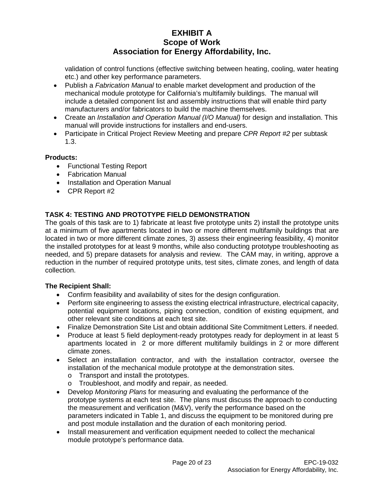validation of control functions (effective switching between heating, cooling, water heating etc.) and other key performance parameters.

- Publish a *Fabrication Manual* to enable market development and production of the mechanical module prototype for California's multifamily buildings. The manual will include a detailed component list and assembly instructions that will enable third party manufacturers and/or fabricators to build the machine themselves.
- Create an *Installation and Operation Manual (I/O Manual)* for design and installation. This manual will provide instructions for installers and end-users.
- Participate in Critical Project Review Meeting and prepare *CPR Report #2* per subtask 1.3.

### **Products:**

- Functional Testing Report
- Fabrication Manual
- Installation and Operation Manual
- CPR Report #2

## **TASK 4: TESTING AND PROTOTYPE FIELD DEMONSTRATION**

The goals of this task are to 1) fabricate at least five prototype units 2) install the prototype units at a minimum of five apartments located in two or more different multifamily buildings that are located in two or more different climate zones, 3) assess their engineering feasibility, 4) monitor the installed prototypes for at least 9 months, while also conducting prototype troubleshooting as needed, and 5) prepare datasets for analysis and review. The CAM may, in writing, approve a reduction in the number of required prototype units, test sites, climate zones, and length of data collection.

### **The Recipient Shall:**

- Confirm feasibility and availability of sites for the design configuration.
- Perform site engineering to assess the existing electrical infrastructure, electrical capacity, potential equipment locations, piping connection, condition of existing equipment, and other relevant site conditions at each test site.
- Finalize Demonstration Site List and obtain additional Site Commitment Letters. if needed.
- Produce at least 5 field deployment-ready prototypes ready for deployment in at least 5 apartments located in 2 or more different multifamily buildings in 2 or more different climate zones.
- Select an installation contractor, and with the installation contractor, oversee the installation of the mechanical module prototype at the demonstration sites.
	- o Transport and install the prototypes.
	- o Troubleshoot, and modify and repair, as needed.
- Develop *Monitoring Plans* for measuring and evaluating the performance of the prototype systems at each test site. The plans must discuss the approach to conducting the measurement and verification (M&V), verify the performance based on the parameters indicated in Table 1, and discuss the equipment to be monitored during pre and post module installation and the duration of each monitoring period.
- Install measurement and verification equipment needed to collect the mechanical module prototype's performance data.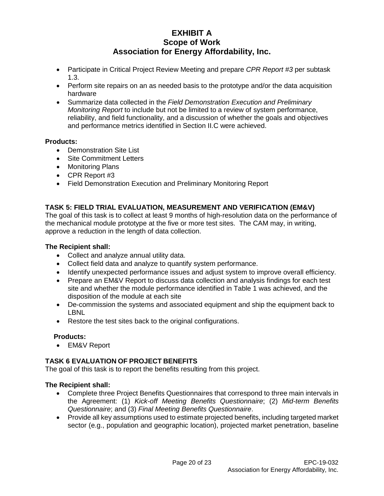- Participate in Critical Project Review Meeting and prepare *CPR Report #3* per subtask 1.3.
- Perform site repairs on an as needed basis to the prototype and/or the data acquisition hardware
- Summarize data collected in the *Field Demonstration Execution and Preliminary Monitoring Report* to include but not be limited to a review of system performance, reliability, and field functionality, and a discussion of whether the goals and objectives and performance metrics identified in Section II.C were achieved.

### **Products:**

- Demonstration Site List
- Site Commitment Letters
- Monitoring Plans
- CPR Report #3
- Field Demonstration Execution and Preliminary Monitoring Report

### **TASK 5: FIELD TRIAL EVALUATION, MEASUREMENT AND VERIFICATION (EM&V)**

The goal of this task is to collect at least 9 months of high-resolution data on the performance of the mechanical module prototype at the five or more test sites. The CAM may, in writing, approve a reduction in the length of data collection.

### **The Recipient shall:**

- Collect and analyze annual utility data.
- Collect field data and analyze to quantify system performance.
- Identify unexpected performance issues and adjust system to improve overall efficiency.
- Prepare an EM&V Report to discuss data collection and analysis findings for each test site and whether the module performance identified in Table 1 was achieved, and the disposition of the module at each site
- De-commission the systems and associated equipment and ship the equipment back to LBNL
- Restore the test sites back to the original configurations.

### **Products:**

• EM&V Report

### **TASK 6 EVALUATION OF PROJECT BENEFITS**

The goal of this task is to report the benefits resulting from this project.

### **The Recipient shall:**

- Complete three Project Benefits Questionnaires that correspond to three main intervals in the Agreement: (1) *Kick-off Meeting Benefits Questionnaire*; (2) *Mid-term Benefits Questionnaire*; and (3) *Final Meeting Benefits Questionnaire*.
- Provide all key assumptions used to estimate projected benefits, including targeted market sector (e.g., population and geographic location), projected market penetration, baseline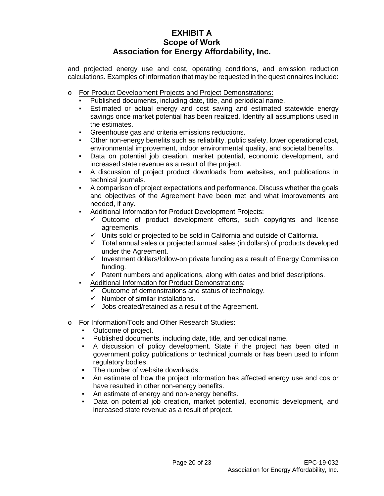and projected energy use and cost, operating conditions, and emission reduction calculations. Examples of information that may be requested in the questionnaires include:

- o For Product Development Projects and Project Demonstrations:
	- Published documents, including date, title, and periodical name.
	- Estimated or actual energy and cost saving and estimated statewide energy savings once market potential has been realized. Identify all assumptions used in the estimates.
	- Greenhouse gas and criteria emissions reductions.
	- Other non-energy benefits such as reliability, public safety, lower operational cost, environmental improvement, indoor environmental quality, and societal benefits.
	- Data on potential job creation, market potential, economic development, and increased state revenue as a result of the project.
	- A discussion of project product downloads from websites, and publications in technical journals.
	- A comparison of project expectations and performance. Discuss whether the goals and objectives of the Agreement have been met and what improvements are needed, if any.
	- Additional Information for Product Development Projects:
		- Outcome of product development efforts, such copyrights and license agreements.
		- $\checkmark$  Units sold or projected to be sold in California and outside of California.
		- $\checkmark$  Total annual sales or projected annual sales (in dollars) of products developed under the Agreement.
		- $\checkmark$  Investment dollars/follow-on private funding as a result of Energy Commission funding.
		- $\checkmark$  Patent numbers and applications, along with dates and brief descriptions.
	- Additional Information for Product Demonstrations:
		- $\overline{\smile}$  Outcome of demonstrations and status of technology.
		- $\checkmark$  Number of similar installations.
		- $\checkmark$  Jobs created/retained as a result of the Agreement.
- o For Information/Tools and Other Research Studies:
	- Outcome of project.
	- Published documents, including date, title, and periodical name.
	- A discussion of policy development. State if the project has been cited in government policy publications or technical journals or has been used to inform regulatory bodies.
	- The number of website downloads.
	- An estimate of how the project information has affected energy use and cos or have resulted in other non-energy benefits.
	- An estimate of energy and non-energy benefits.
	- Data on potential job creation, market potential, economic development, and increased state revenue as a result of project.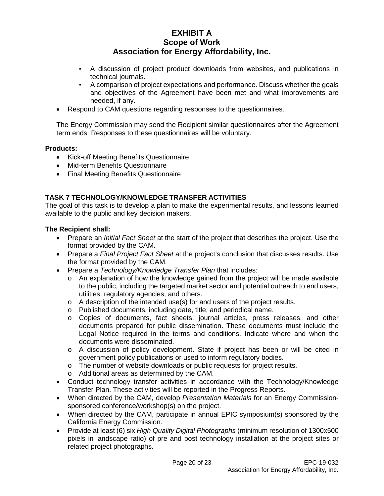- A discussion of project product downloads from websites, and publications in technical journals.
- A comparison of project expectations and performance. Discuss whether the goals and objectives of the Agreement have been met and what improvements are needed, if any.
- Respond to CAM questions regarding responses to the questionnaires.

The Energy Commission may send the Recipient similar questionnaires after the Agreement term ends. Responses to these questionnaires will be voluntary.

### **Products:**

- Kick-off Meeting Benefits Questionnaire
- Mid-term Benefits Questionnaire
- Final Meeting Benefits Questionnaire

### **TASK 7 TECHNOLOGY/KNOWLEDGE TRANSFER ACTIVITIES**

The goal of this task is to develop a plan to make the experimental results, and lessons learned available to the public and key decision makers.

#### **The Recipient shall:**

- Prepare an *Initial Fact Sheet* at the start of the project that describes the project. Use the format provided by the CAM.
- Prepare a *Final Project Fact Sheet* at the project's conclusion that discusses results. Use the format provided by the CAM.
- Prepare a *Technology/Knowledge Transfer Plan* that includes:
	- $\circ$  An explanation of how the knowledge gained from the project will be made available to the public, including the targeted market sector and potential outreach to end users, utilities, regulatory agencies, and others.
	- o A description of the intended use(s) for and users of the project results.
	- o Published documents, including date, title, and periodical name.
	- o Copies of documents, fact sheets, journal articles, press releases, and other documents prepared for public dissemination. These documents must include the Legal Notice required in the terms and conditions. Indicate where and when the documents were disseminated.
	- o A discussion of policy development. State if project has been or will be cited in government policy publications or used to inform regulatory bodies.
	- o The number of website downloads or public requests for project results.
	- o Additional areas as determined by the CAM.
- Conduct technology transfer activities in accordance with the Technology/Knowledge Transfer Plan. These activities will be reported in the Progress Reports.
- When directed by the CAM, develop *Presentation Materials* for an Energy Commissionsponsored conference/workshop(s) on the project.
- When directed by the CAM, participate in annual EPIC symposium(s) sponsored by the California Energy Commission.
- Provide at least (6) six *High Quality Digital Photographs* (minimum resolution of 1300x500 pixels in landscape ratio) of pre and post technology installation at the project sites or related project photographs.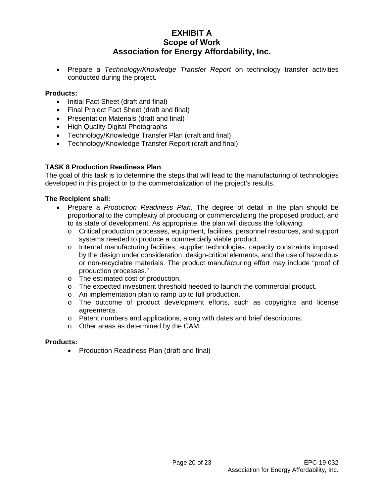• Prepare a *Technology/Knowledge Transfer Report* on technology transfer activities conducted during the project.

### **Products:**

- Initial Fact Sheet (draft and final)
- Final Project Fact Sheet (draft and final)
- Presentation Materials (draft and final)
- High Quality Digital Photographs
- Technology/Knowledge Transfer Plan (draft and final)
- Technology/Knowledge Transfer Report (draft and final)

### **TASK 8 Production Readiness Plan**

The goal of this task is to determine the steps that will lead to the manufacturing of technologies developed in this project or to the commercialization of the project's results.

#### **The Recipient shall:**

- Prepare a *Production Readiness Plan*. The degree of detail in the plan should be proportional to the complexity of producing or commercializing the proposed product, and to its state of development. As appropriate, the plan will discuss the following:
	- o Critical production processes, equipment, facilities, personnel resources, and support systems needed to produce a commercially viable product.
	- o Internal manufacturing facilities, supplier technologies, capacity constraints imposed by the design under consideration, design-critical elements, and the use of hazardous or non-recyclable materials. The product manufacturing effort may include "proof of production processes."
	- o The estimated cost of production.
	- o The expected investment threshold needed to launch the commercial product.
	- o An implementation plan to ramp up to full production.
	- o The outcome of product development efforts, such as copyrights and license agreements.
	- o Patent numbers and applications, along with dates and brief descriptions.
	- o Other areas as determined by the CAM.

#### **Products:**

• Production Readiness Plan (draft and final)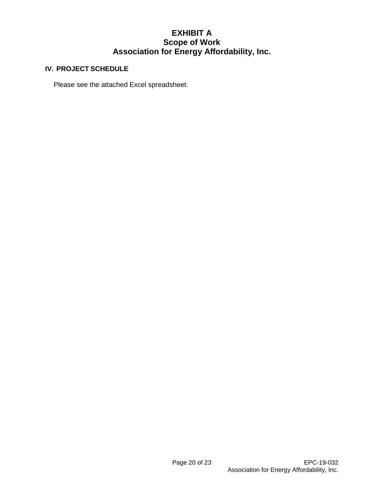### **IV. PROJECT SCHEDULE**

Please see the attached Excel spreadsheet.